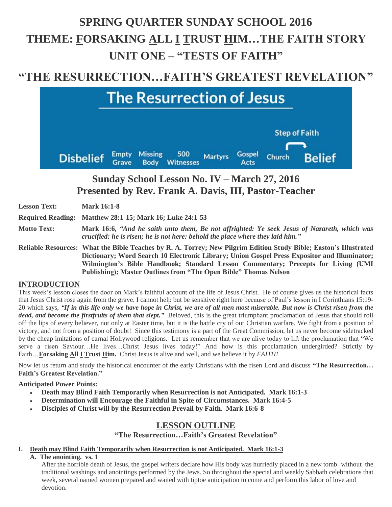# **SPRING QUARTER SUNDAY SCHOOL 2016 THEME: FORSAKING ALL I TRUST HIM…THE FAITH STORY UNIT ONE – "TESTS OF FAITH"**

# **"THE RESURRECTION…FAITH'S GREATEST REVELATION"**



# **Sunday School Lesson No. IV – March 27, 2016 Presented by Rev. Frank A. Davis, III, Pastor-Teacher**

| <b>Lesson Text:</b> | <b>Mark 16:1-8</b>                                                                                                                                                                                                                                                                                      |
|---------------------|---------------------------------------------------------------------------------------------------------------------------------------------------------------------------------------------------------------------------------------------------------------------------------------------------------|
|                     | Required Reading: Matthew 28:1-15; Mark 16; Luke 24:1-53                                                                                                                                                                                                                                                |
| <b>Motto Text:</b>  | Mark 16:6, "And he saith unto them, Be not affrighted: Ye seek Jesus of Nazareth, which was<br>crucified: he is risen; he is not here: behold the place where they laid him."                                                                                                                           |
|                     | Reliable Resources: What the Bible Teaches by R. A. Torrey; New Pilgrim Edition Study Bible; Easton's Illustrated<br>Dictionary; Word Search 10 Electronic Library; Union Gospel Press Expositor and Illuminator;<br>Wilmington's Bible Handbook; Standard Lesson Commentary; Precepts for Living (UMI) |

**Publishing); Master Outlines from "The Open Bible" Thomas Nelson**

### **INTRODUCTION**

This week's lesson closes the door on Mark's faithful account of the life of Jesus Christ. He of course gives us the historical facts that Jesus Christ rose again from the grave. I cannot help but be sensitive right here because of Paul's lesson in I Corinthians 15:19- 20 which says, *"If in this life only we have hope in Christ, we are of all men most miserable. But now is Christ risen from the dead, and become the firstfruits of them that slept."* Beloved, this is the great triumphant proclamation of Jesus that should roll off the lips of every believer, not only at Easter time, but it is the battle cry of our Christian warfare. We fight from a position of victory, and not from a position of doubt! Since this testimony is a part of the Great Commission, let us never become sidetracked by the cheap imitations of carnal Hollywood religions. Let us remember that we are alive today to lift the proclamation that "We serve a risen Saviour...He lives...Christ Jesus lives today!" And how is this proclamation undergirded? Strictly by Faith…**Forsaking All I Trust Him.** Christ Jesus is alive and well, and we believe it by *FAITH!* 

Now let us return and study the historical encounter of the early Christians with the risen Lord and discuss **"The Resurrection… Faith's Greatest Revelation."**

**Anticipated Power Points:**

- **Death may Blind Faith Temporarily when Resurrection is not Anticipated. Mark 16:1-3**
- **Determination will Encourage the Faithful in Spite of Circumstances. Mark 16:4-5**
- **Disciples of Christ will by the Resurrection Prevail by Faith. Mark 16:6-8**

## **LESSON OUTLINE**

### **"The Resurrection…Faith's Greatest Revelation"**

#### **I. Death may Blind Faith Temporarily when Resurrection is not Anticipated. Mark 16:1-3**

**A. The anointing. vs. 1**

After the horrible death of Jesus, the gospel writers declare how His body was hurriedly placed in a new tomb without the traditional washings and anointings performed by the Jews. So throughout the special and weekly Sabbath celebrations that week, several named women prepared and waited with tiptoe anticipation to come and perform this labor of love and devotion.